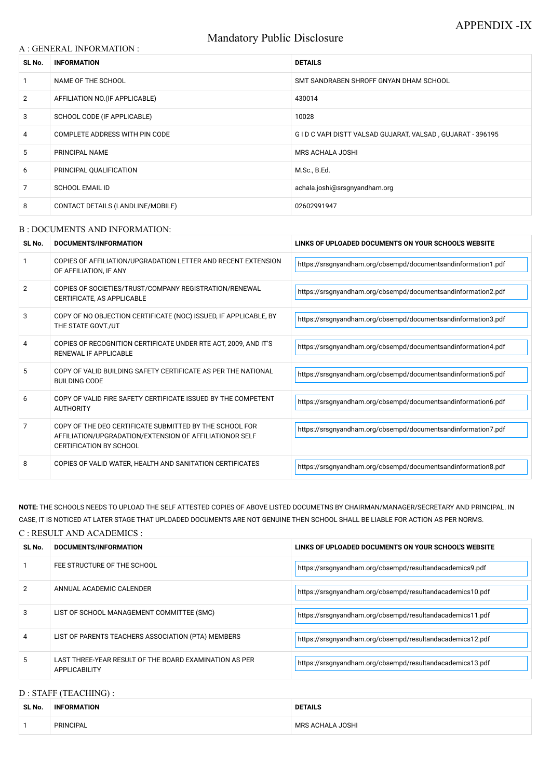# Mandatory Public Disclosure

### A : GENERAL INFORMATION :

| SL No. | <b>INFORMATION</b>                | <b>DETAILS</b>                                            |  |
|--------|-----------------------------------|-----------------------------------------------------------|--|
|        | NAME OF THE SCHOOL                | SMT SANDRABEN SHROFF GNYAN DHAM SCHOOL                    |  |
| 2      | AFFILIATION NO. (IF APPLICABLE)   | 430014                                                    |  |
| 3      | SCHOOL CODE (IF APPLICABLE)       | 10028                                                     |  |
| 4      | COMPLETE ADDRESS WITH PIN CODE    | GID C VAPI DISTT VALSAD GUJARAT, VALSAD, GUJARAT - 396195 |  |
| 5      | PRINCIPAL NAME                    | MRS ACHALA JOSHI                                          |  |
| 6      | PRINCIPAL QUALIFICATION           | M.Sc., B.Ed.                                              |  |
| 7      | <b>SCHOOL EMAIL ID</b>            | achala.joshi@srsgnyandham.org                             |  |
| 8      | CONTACT DETAILS (LANDLINE/MOBILE) | 02602991947                                               |  |

#### B : DOCUMENTS AND INFORMATION:

| SL No. | <b>DOCUMENTS/INFORMATION</b>                                                                                                                         | LINKS OF UPLOADED DOCUMENTS ON YOUR SCHOOL'S WEBSITE          |  |
|--------|------------------------------------------------------------------------------------------------------------------------------------------------------|---------------------------------------------------------------|--|
|        | COPIES OF AFFILIATION/UPGRADATION LETTER AND RECENT EXTENSION<br>OF AFFILIATION, IF ANY                                                              | https://srsgnyandham.org/cbsempd/documentsandinformation1.pdf |  |
| 2      | COPIES OF SOCIETIES/TRUST/COMPANY REGISTRATION/RENEWAL<br>CERTIFICATE, AS APPLICABLE                                                                 | https://srsgnyandham.org/cbsempd/documentsandinformation2.pdf |  |
| 3      | COPY OF NO OBJECTION CERTIFICATE (NOC) ISSUED, IF APPLICABLE, BY<br>THE STATE GOVT./UT                                                               | https://srsgnyandham.org/cbsempd/documentsandinformation3.pdf |  |
| 4      | COPIES OF RECOGNITION CERTIFICATE UNDER RTE ACT, 2009, AND IT'S<br><b>RENEWAL IF APPLICABLE</b>                                                      | https://srsgnyandham.org/cbsempd/documentsandinformation4.pdf |  |
| 5      | COPY OF VALID BUILDING SAFETY CERTIFICATE AS PER THE NATIONAL<br><b>BUILDING CODE</b>                                                                | https://srsgnyandham.org/cbsempd/documentsandinformation5.pdf |  |
| 6      | COPY OF VALID FIRE SAFETY CERTIFICATE ISSUED BY THE COMPETENT<br><b>AUTHORITY</b>                                                                    | https://srsgnyandham.org/cbsempd/documentsandinformation6.pdf |  |
| 7      | COPY OF THE DEO CERTIFICATE SUBMITTED BY THE SCHOOL FOR<br>AFFILIATION/UPGRADATION/EXTENSION OF AFFILIATIONOR SELF<br><b>CERTIFICATION BY SCHOOL</b> | https://srsgnyandham.org/cbsempd/documentsandinformation7.pdf |  |
| 8      | COPIES OF VALID WATER, HEALTH AND SANITATION CERTIFICATES                                                                                            | https://srsgnyandham.org/cbsempd/documentsandinformation8.pdf |  |

**NOTE:** THE SCHOOLS NEEDS TO UPLOAD THE SELF ATTESTED COPIES OF ABOVE LISTED DOCUMETNS BY CHAIRMAN/MANAGER/SECRETARY AND PRINCIPAL. IN CASE, IT IS NOTICED AT LATER STAGE THAT UPLOADED DOCUMENTS ARE NOT GENUINE THEN SCHOOL SHALL BE LIABLE FOR ACTION AS PER NORMS.

### C : RESULT AND ACADEMICS :

| SL No. | DOCUMENTS/INFORMATION                                                          | LINKS OF UPLOADED DOCUMENTS ON YOUR SCHOOL'S WEBSITE      |
|--------|--------------------------------------------------------------------------------|-----------------------------------------------------------|
|        | FEE STRUCTURE OF THE SCHOOL                                                    | https://srsgnyandham.org/cbsempd/resultandacademics9.pdf  |
| 2      | ANNUAL ACADEMIC CALENDER                                                       | https://srsgnyandham.org/cbsempd/resultandacademics10.pdf |
| 3      | LIST OF SCHOOL MANAGEMENT COMMITTEE (SMC)                                      | https://srsgnyandham.org/cbsempd/resultandacademics11.pdf |
|        | LIST OF PARENTS TEACHERS ASSOCIATION (PTA) MEMBERS                             | https://srsgnyandham.org/cbsempd/resultandacademics12.pdf |
| 5      | LAST THREE-YEAR RESULT OF THE BOARD EXAMINATION AS PER<br><b>APPLICABILITY</b> | https://srsgnyandham.org/cbsempd/resultandacademics13.pdf |

# D : STAFF (TEACHING) :

| SL No. | <b>INFORMATION</b> | <b>DETAILS</b>          |  |
|--------|--------------------|-------------------------|--|
|        | PRINCIPAL          | <b>MRS ACHALA JOSHI</b> |  |